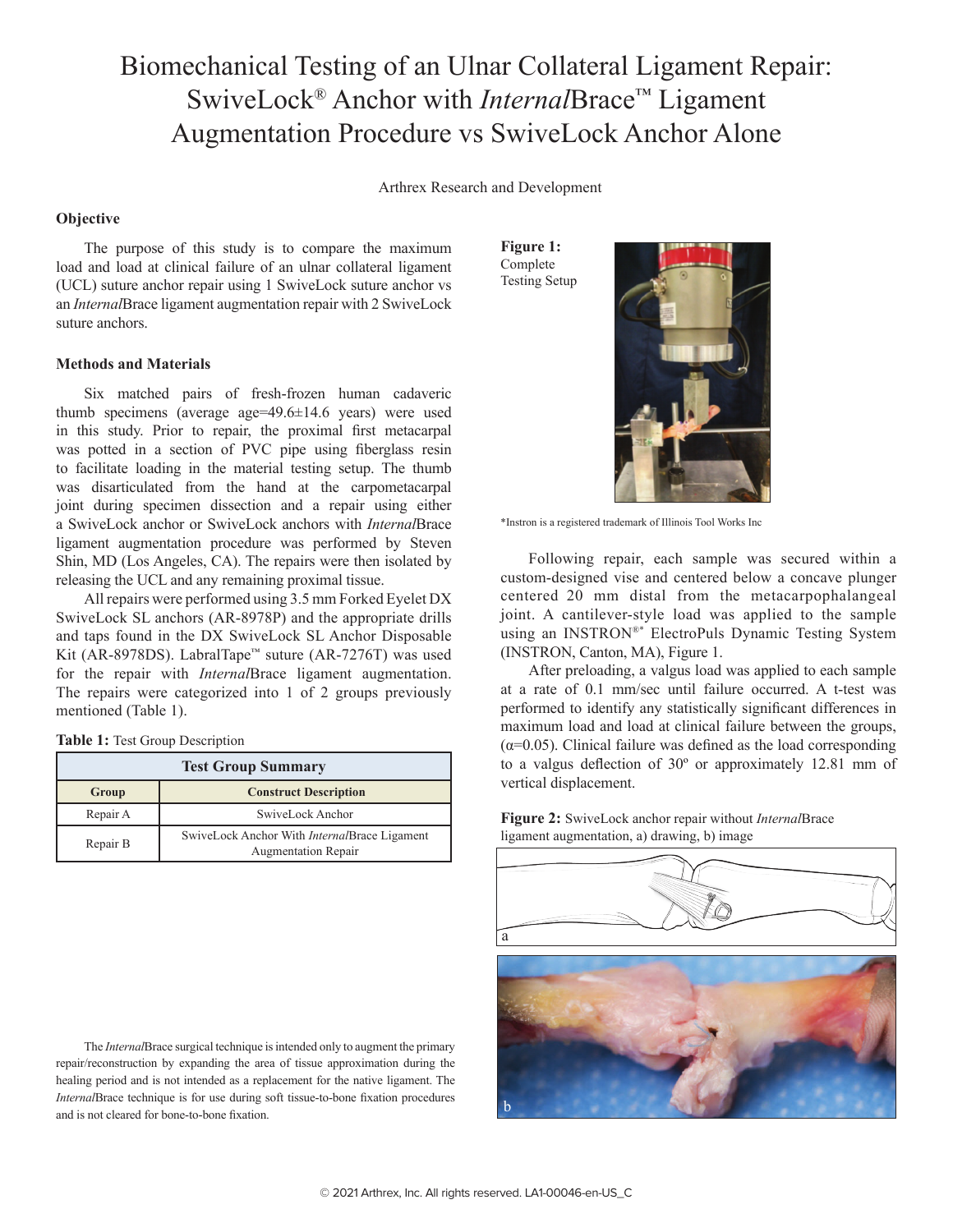# Biomechanical Testing of an Ulnar Collateral Ligament Repair: SwiveLock® Anchor with *Internal*Brace™ Ligament Augmentation Procedure vs SwiveLock Anchor Alone

Arthrex Research and Development

## **Objective**

The purpose of this study is to compare the maximum load and load at clinical failure of an ulnar collateral ligament (UCL) suture anchor repair using 1 SwiveLock suture anchor vs an *Internal*Brace ligament augmentation repair with 2 SwiveLock suture anchors.

## **Methods and Materials**

Six matched pairs of fresh-frozen human cadaveric thumb specimens (average age=49.6±14.6 years) were used in this study. Prior to repair, the proximal first metacarpal was potted in a section of PVC pipe using fiberglass resin to facilitate loading in the material testing setup. The thumb was disarticulated from the hand at the carpometacarpal joint during specimen dissection and a repair using either a SwiveLock anchor or SwiveLock anchors with *Internal*Brace ligament augmentation procedure was performed by Steven Shin, MD (Los Angeles, CA). The repairs were then isolated by releasing the UCL and any remaining proximal tissue.

All repairs were performed using 3.5 mm Forked Eyelet DX SwiveLock SL anchors (AR-8978P) and the appropriate drills and taps found in the DX SwiveLock SL Anchor Disposable Kit (AR-8978DS). LabralTape™ suture (AR-7276T) was used for the repair with *Internal*Brace ligament augmentation. The repairs were categorized into 1 of 2 groups previously mentioned (Table 1).

#### **Table 1:** Test Group Description

| <b>Test Group Summary</b> |                                                                                    |  |  |
|---------------------------|------------------------------------------------------------------------------------|--|--|
| Group                     | <b>Construct Description</b>                                                       |  |  |
| Repair A                  | SwiveLock Anchor                                                                   |  |  |
| Repair B                  | SwiveLock Anchor With <i>Internal</i> Brace Ligament<br><b>Augmentation Repair</b> |  |  |

The *Internal*Brace surgical technique is intended only to augment the primary repair/reconstruction by expanding the area of tissue approximation during the healing period and is not intended as a replacement for the native ligament. The *Internal*Brace technique is for use during soft tissue-to-bone fixation procedures and is not cleared for bone-to-bone fixation.

**Figure 1:**  Complete Testing Setup



\*Instron is a registered trademark of Illinois Tool Works Inc

Following repair, each sample was secured within a custom-designed vise and centered below a concave plunger centered 20 mm distal from the metacarpophalangeal joint. A cantilever-style load was applied to the sample using an INSTRON®\* ElectroPuls Dynamic Testing System (INSTRON, Canton, MA), Figure 1.

After preloading, a valgus load was applied to each sample at a rate of 0.1 mm/sec until failure occurred. A t-test was performed to identify any statistically significant differences in maximum load and load at clinical failure between the groups,  $(\alpha=0.05)$ . Clinical failure was defined as the load corresponding to a valgus deflection of 30º or approximately 12.81 mm of vertical displacement.

**Figure 2:** SwiveLock anchor repair without *Internal*Brace ligament augmentation, a) drawing, b) image